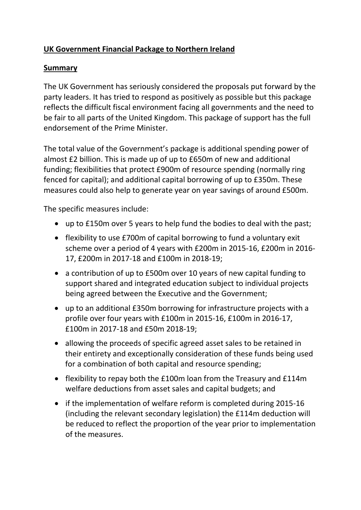# **UK Government Financial Package to Northern Ireland**

### **Summary**

The UK Government has seriously considered the proposals put forward by the party leaders. It has tried to respond as positively as possible but this package reflects the difficult fiscal environment facing all governments and the need to be fair to all parts of the United Kingdom. This package of support has the full endorsement of the Prime Minister.

The total value of the Government's package is additional spending power of almost £2 billion. This is made up of up to £650m of new and additional funding; flexibilities that protect £900m of resource spending (normally ring fenced for capital); and additional capital borrowing of up to £350m. These measures could also help to generate year on year savings of around £500m.

The specific measures include:

- up to £150m over 5 years to help fund the bodies to deal with the past;
- flexibility to use £700m of capital borrowing to fund a voluntary exit scheme over a period of 4 years with £200m in 2015-16, £200m in 2016- 17, £200m in 2017-18 and £100m in 2018-19;
- a contribution of up to £500m over 10 years of new capital funding to support shared and integrated education subject to individual projects being agreed between the Executive and the Government;
- up to an additional £350m borrowing for infrastructure projects with a profile over four years with £100m in 2015-16, £100m in 2016-17, £100m in 2017-18 and £50m 2018-19;
- allowing the proceeds of specific agreed asset sales to be retained in their entirety and exceptionally consideration of these funds being used for a combination of both capital and resource spending;
- flexibility to repay both the £100m loan from the Treasury and £114m welfare deductions from asset sales and capital budgets; and
- if the implementation of welfare reform is completed during 2015-16 (including the relevant secondary legislation) the £114m deduction will be reduced to reflect the proportion of the year prior to implementation of the measures.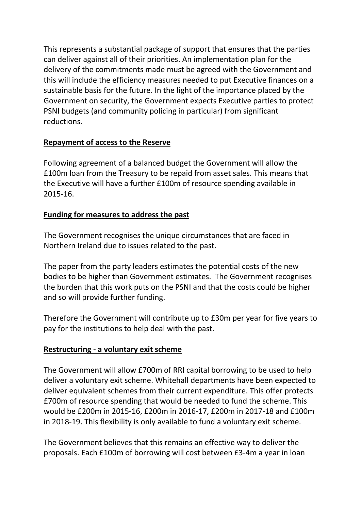This represents a substantial package of support that ensures that the parties can deliver against all of their priorities. An implementation plan for the delivery of the commitments made must be agreed with the Government and this will include the efficiency measures needed to put Executive finances on a sustainable basis for the future. In the light of the importance placed by the Government on security, the Government expects Executive parties to protect PSNI budgets (and community policing in particular) from significant reductions.

## **Repayment of access to the Reserve**

Following agreement of a balanced budget the Government will allow the £100m loan from the Treasury to be repaid from asset sales. This means that the Executive will have a further £100m of resource spending available in 2015-16.

# **Funding for measures to address the past**

The Government recognises the unique circumstances that are faced in Northern Ireland due to issues related to the past.

The paper from the party leaders estimates the potential costs of the new bodies to be higher than Government estimates. The Government recognises the burden that this work puts on the PSNI and that the costs could be higher and so will provide further funding.

Therefore the Government will contribute up to £30m per year for five years to pay for the institutions to help deal with the past.

# **Restructuring - a voluntary exit scheme**

The Government will allow £700m of RRI capital borrowing to be used to help deliver a voluntary exit scheme. Whitehall departments have been expected to deliver equivalent schemes from their current expenditure. This offer protects £700m of resource spending that would be needed to fund the scheme. This would be £200m in 2015-16, £200m in 2016-17, £200m in 2017-18 and £100m in 2018-19. This flexibility is only available to fund a voluntary exit scheme.

The Government believes that this remains an effective way to deliver the proposals. Each £100m of borrowing will cost between £3-4m a year in loan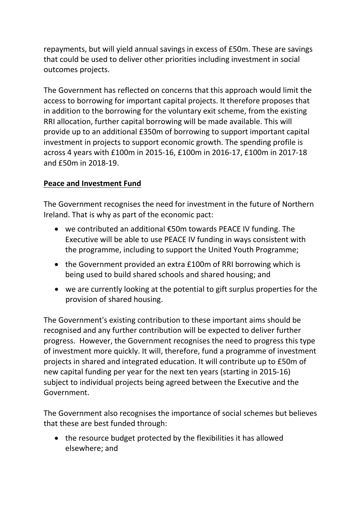repayments, but will yield annual savings in excess of £50m. These are savings that could be used to deliver other priorities including investment in social outcomes projects.

The Government has reflected on concerns that this approach would limit the access to borrowing for important capital projects. It therefore proposes that in addition to the borrowing for the voluntary exit scheme, from the existing RRI allocation, further capital borrowing will be made available. This will provide up to an additional £350m of borrowing to support important capital investment in projects to support economic growth. The spending profile is across 4 years with £100m in 2015-16, £100m in 2016-17, £100m in 2017-18 and £50m in 2018-19.

# **Peace and Investment Fund**

The Government recognises the need for investment in the future of Northern Ireland. That is why as part of the economic pact:

- we contributed an additional €50m towards PEACE IV funding. The Executive will be able to use PEACE IV funding in ways consistent with the programme, including to support the United Youth Programme;
- the Government provided an extra £100m of RRI borrowing which is being used to build shared schools and shared housing; and
- we are currently looking at the potential to gift surplus properties for the provision of shared housing.

The Government's existing contribution to these important aims should be recognised and any further contribution will be expected to deliver further progress. However, the Government recognises the need to progress this type of investment more quickly. It will, therefore, fund a programme of investment projects in shared and integrated education. It will contribute up to £50m of new capital funding per year for the next ten years (starting in 2015-16) subject to individual projects being agreed between the Executive and the Government.

The Government also recognises the importance of social schemes but believes that these are best funded through:

• the resource budget protected by the flexibilities it has allowed elsewhere; and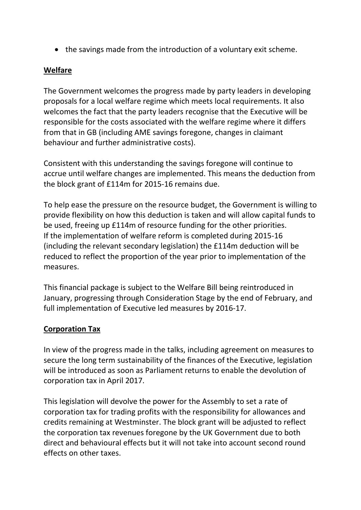the savings made from the introduction of a voluntary exit scheme.

#### **Welfare**

The Government welcomes the progress made by party leaders in developing proposals for a local welfare regime which meets local requirements. It also welcomes the fact that the party leaders recognise that the Executive will be responsible for the costs associated with the welfare regime where it differs from that in GB (including AME savings foregone, changes in claimant behaviour and further administrative costs).

Consistent with this understanding the savings foregone will continue to accrue until welfare changes are implemented. This means the deduction from the block grant of £114m for 2015-16 remains due.

To help ease the pressure on the resource budget, the Government is willing to provide flexibility on how this deduction is taken and will allow capital funds to be used, freeing up £114m of resource funding for the other priorities. If the implementation of welfare reform is completed during 2015-16 (including the relevant secondary legislation) the £114m deduction will be reduced to reflect the proportion of the year prior to implementation of the measures.

This financial package is subject to the Welfare Bill being reintroduced in January, progressing through Consideration Stage by the end of February, and full implementation of Executive led measures by 2016-17.

## **Corporation Tax**

In view of the progress made in the talks, including agreement on measures to secure the long term sustainability of the finances of the Executive, legislation will be introduced as soon as Parliament returns to enable the devolution of corporation tax in April 2017.

This legislation will devolve the power for the Assembly to set a rate of corporation tax for trading profits with the responsibility for allowances and credits remaining at Westminster. The block grant will be adjusted to reflect the corporation tax revenues foregone by the UK Government due to both direct and behavioural effects but it will not take into account second round effects on other taxes.